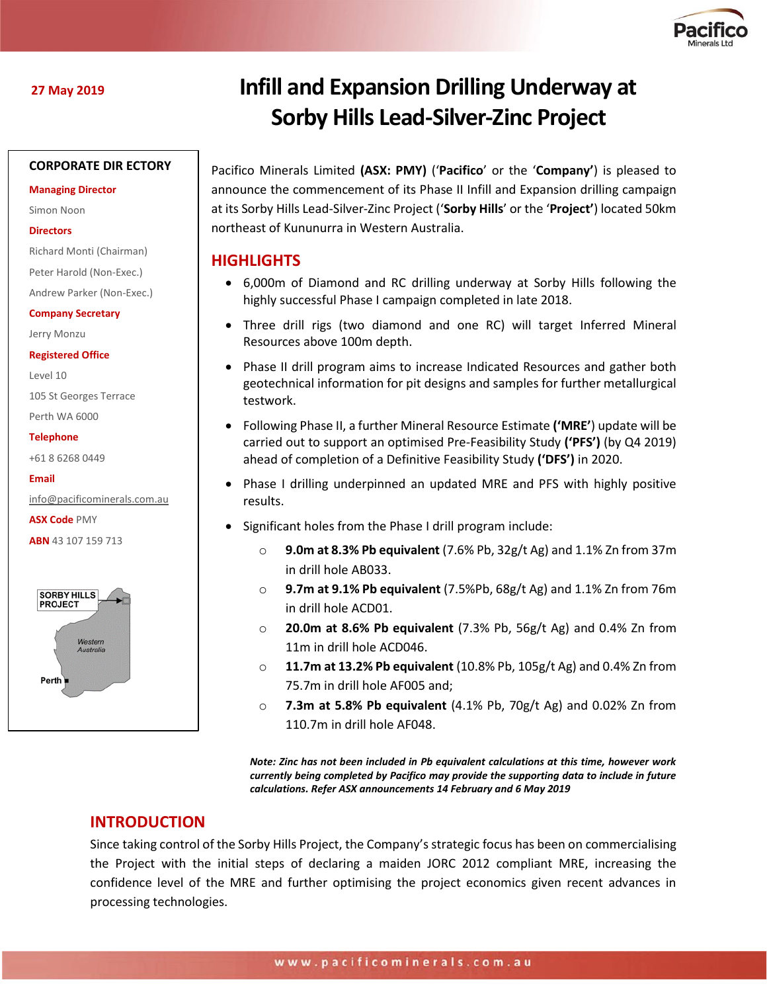

# **CORPORATE DIR ECTORY**

#### **Managing Director**

Simon Noon

#### **Directors**

Richard Monti (Chairman)

Peter Harold (Non-Exec.)

Andrew Parker (Non-Exec.)

**Company Secretary**

Jerry Monzu

**Registered Office**

Level 10

105 St Georges Terrace

Perth WA 6000

#### **Telephone**

+61 8 6268 0449

**Email**

[info@pacificominerals.com.au](mailto:info@pacificominerals.com.au)

**ASX Code** PMY

**ABN** 43 107 159 713



# **27 May 2019 Infill and Expansion Drilling Underway at Sorby Hills Lead-Silver-Zinc Project**

Pacifico Minerals Limited **(ASX: PMY)** ('**Pacifico**' or the '**Company'**) is pleased to announce the commencement of its Phase II Infill and Expansion drilling campaign at its Sorby Hills Lead-Silver-Zinc Project ('**Sorby Hills**' or the '**Project'**) located 50km northeast of Kununurra in Western Australia.

# **HIGHLIGHTS**

- 6,000m of Diamond and RC drilling underway at Sorby Hills following the highly successful Phase I campaign completed in late 2018.
- Three drill rigs (two diamond and one RC) will target Inferred Mineral Resources above 100m depth.
- Phase II drill program aims to increase Indicated Resources and gather both geotechnical information for pit designs and samples for further metallurgical testwork.
- Following Phase II, a further Mineral Resource Estimate **('MRE'**) update will be carried out to support an optimised Pre-Feasibility Study **('PFS')** (by Q4 2019) ahead of completion of a Definitive Feasibility Study **('DFS')** in 2020.
- Phase I drilling underpinned an updated MRE and PFS with highly positive results.
- Significant holes from the Phase I drill program include:
	- **9.0m at 8.3% Pb equivalent** (7.6% Pb, 32g/t Ag) and 1.1% Zn from 37m in drill hole AB033.
	- o **9.7m at 9.1% Pb equivalent** (7.5%Pb, 68g/t Ag) and 1.1% Zn from 76m in drill hole ACD01.
	- o **20.0m at 8.6% Pb equivalent** (7.3% Pb, 56g/t Ag) and 0.4% Zn from 11m in drill hole ACD046.
	- o **11.7m at 13.2% Pb equivalent** (10.8% Pb, 105g/t Ag) and 0.4% Zn from 75.7m in drill hole AF005 and;
	- o **7.3m at 5.8% Pb equivalent** (4.1% Pb, 70g/t Ag) and 0.02% Zn from 110.7m in drill hole AF048.

*Note: Zinc has not been included in Pb equivalent calculations at this time, however work currently being completed by Pacifico may provide the supporting data to include in future calculations. Refer ASX announcements 14 February and 6 May 2019*

# **INTRODUCTION**

Since taking control of the Sorby Hills Project, the Company's strategic focus has been on commercialising the Project with the initial steps of declaring a maiden JORC 2012 compliant MRE, increasing the confidence level of the MRE and further optimising the project economics given recent advances in processing technologies.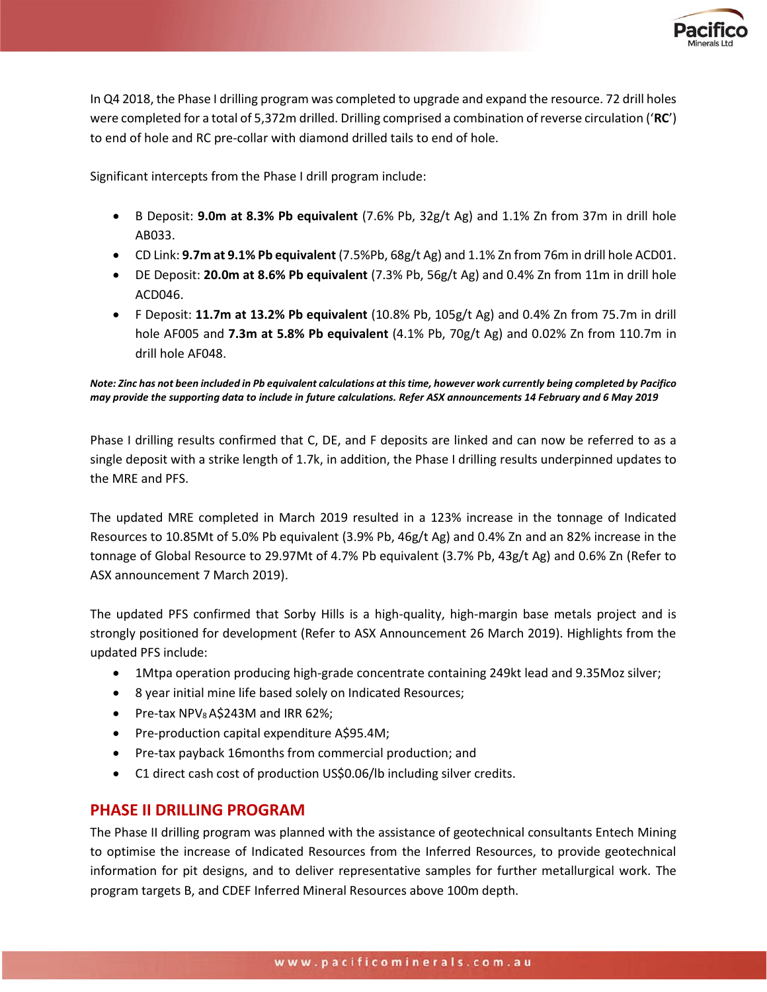

In Q4 2018, the Phase I drilling program was completed to upgrade and expand the resource. 72 drill holes were completed for a total of 5,372m drilled. Drilling comprised a combination of reverse circulation ('**RC**') to end of hole and RC pre-collar with diamond drilled tails to end of hole.

Significant intercepts from the Phase I drill program include:

- B Deposit: **9.0m at 8.3% Pb equivalent** (7.6% Pb, 32g/t Ag) and 1.1% Zn from 37m in drill hole AB033.
- CD Link: **9.7m at 9.1% Pb equivalent** (7.5%Pb, 68g/t Ag) and 1.1% Zn from 76m in drill hole ACD01.
- DE Deposit: **20.0m at 8.6% Pb equivalent** (7.3% Pb, 56g/t Ag) and 0.4% Zn from 11m in drill hole ACD046.
- F Deposit: **11.7m at 13.2% Pb equivalent** (10.8% Pb, 105g/t Ag) and 0.4% Zn from 75.7m in drill hole AF005 and **7.3m at 5.8% Pb equivalent** (4.1% Pb, 70g/t Ag) and 0.02% Zn from 110.7m in drill hole AF048.

*Note: Zinc has not been included in Pb equivalent calculations at this time, however work currently being completed by Pacifico may provide the supporting data to include in future calculations. Refer ASX announcements 14 February and 6 May 2019*

Phase I drilling results confirmed that C, DE, and F deposits are linked and can now be referred to as a single deposit with a strike length of 1.7k, in addition, the Phase I drilling results underpinned updates to the MRE and PFS.

The updated MRE completed in March 2019 resulted in a 123% increase in the tonnage of Indicated Resources to 10.85Mt of 5.0% Pb equivalent (3.9% Pb, 46g/t Ag) and 0.4% Zn and an 82% increase in the tonnage of Global Resource to 29.97Mt of 4.7% Pb equivalent (3.7% Pb, 43g/t Ag) and 0.6% Zn (Refer to ASX announcement 7 March 2019).

The updated PFS confirmed that Sorby Hills is a high-quality, high-margin base metals project and is strongly positioned for development (Refer to ASX Announcement 26 March 2019). Highlights from the updated PFS include:

- 1Mtpa operation producing high-grade concentrate containing 249kt lead and 9.35Moz silver;
- 8 year initial mine life based solely on Indicated Resources;
- Pre-tax  $NPV_8$  A\$243M and IRR 62%;
- Pre-production capital expenditure A\$95.4M;
- Pre-tax payback 16months from commercial production; and
- C1 direct cash cost of production US\$0.06/lb including silver credits.

# **PHASE II DRILLING PROGRAM**

The Phase II drilling program was planned with the assistance of geotechnical consultants Entech Mining to optimise the increase of Indicated Resources from the Inferred Resources, to provide geotechnical information for pit designs, and to deliver representative samples for further metallurgical work. The program targets B, and CDEF Inferred Mineral Resources above 100m depth.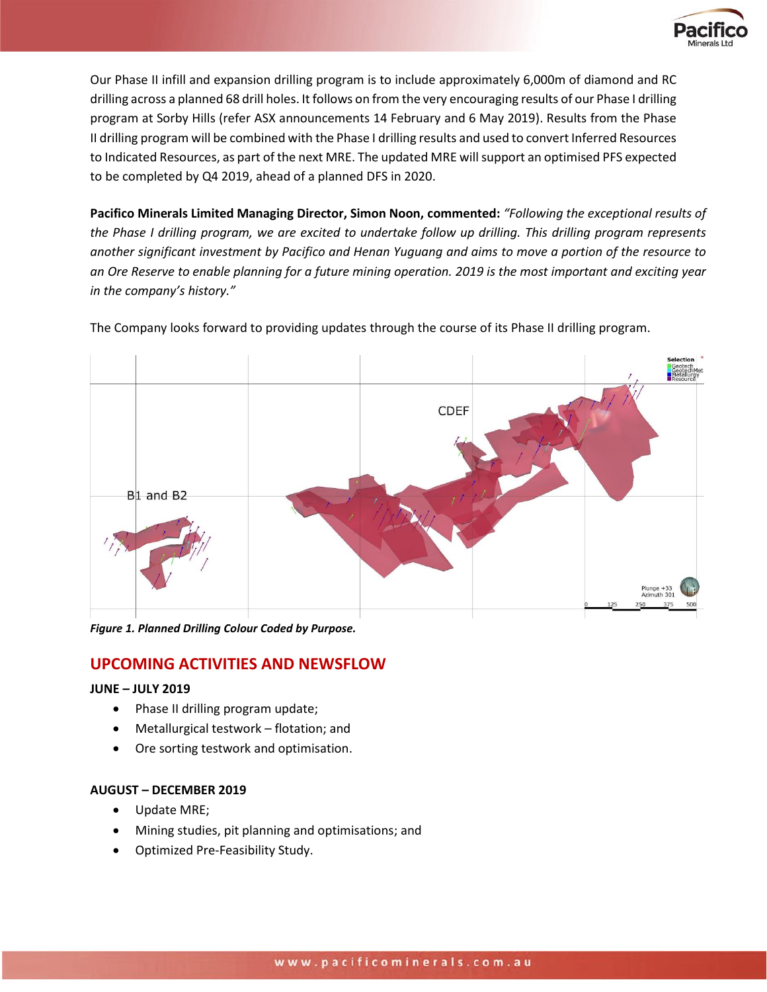

Our Phase II infill and expansion drilling program is to include approximately 6,000m of diamond and RC drilling across a planned 68 drill holes. It follows on from the very encouraging results of our Phase I drilling program at Sorby Hills (refer ASX announcements 14 February and 6 May 2019). Results from the Phase II drilling program will be combined with the Phase I drilling results and used to convert Inferred Resources to Indicated Resources, as part of the next MRE. The updated MRE will support an optimised PFS expected to be completed by Q4 2019, ahead of a planned DFS in 2020.

**Pacifico Minerals Limited Managing Director, Simon Noon, commented:** *"Following the exceptional results of the Phase I drilling program, we are excited to undertake follow up drilling. This drilling program represents another significant investment by Pacifico and Henan Yuguang and aims to move a portion of the resource to an Ore Reserve to enable planning for a future mining operation. 2019 is the most important and exciting year in the company's history."*

The Company looks forward to providing updates through the course of its Phase II drilling program.



*Figure 1. Planned Drilling Colour Coded by Purpose.* 

# **UPCOMING ACTIVITIES AND NEWSFLOW**

# **JUNE – JULY 2019**

- Phase II drilling program update;
- Metallurgical testwork flotation; and
- Ore sorting testwork and optimisation.

# **AUGUST – DECEMBER 2019**

- Update MRE;
- Mining studies, pit planning and optimisations; and
- Optimized Pre-Feasibility Study.